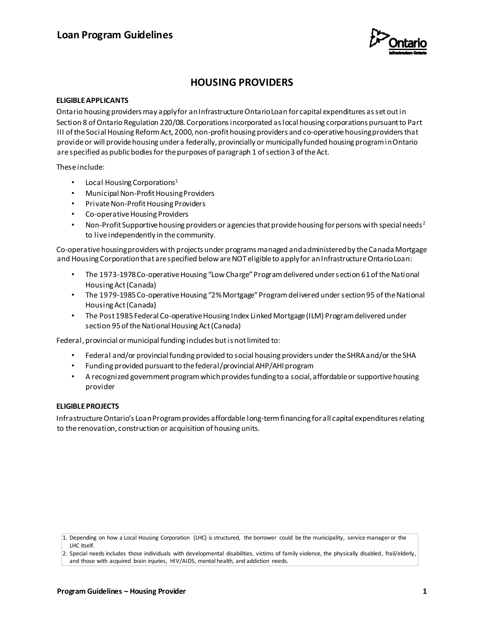

# **HOUSING PROVIDERS**

## **ELIGIBLE APPLICANTS**

Ontario housing providers may apply for an Infrastructure Ontario Loan for capital expenditures as set out in Section 8 of Ontario Regulation 220/08. Corporations incorporated as local housing corporations pursuant to Part III of the Social Housing Reform Act, 2000, non-profit housing providers and co-operative housing providers that provide or will provide housing under a federally, provincially or municipally funded housing program in Ontario are specified as public bodies for the purposes of paragraph 1 of section 3 of the Act.

These include:

- Local Housing Corporations<sup>1</sup>
- Municipal Non-Profit Housing Providers
- Private Non-Profit Housing Providers
- Co-operative Housing Providers
- Non-Profit Supportive housing providers or agencies that provide housing for persons with special needs<sup>2</sup> to live independently in the community.

Co-operative housing providers with projects under programs managed and administered by the Canada Mortgage and Housing Corporation that are specified below are NOT eligible to apply for an Infrastructure Ontario Loan:

- The 1973-1978 Co-operative Housing "Low Charge" Program delivered under section 61 of the National Housing Act (Canada)
- The 1979-1985 Co-operative Housing "2% Mortgage" Program delivered under section 95 of the National Housing Act (Canada)
- The Post 1985 Federal Co-operative Housing Index Linked Mortgage (ILM) Program delivered under section 95 of the National Housing Act (Canada)

Federal, provincial or municipal funding includes but is not limited to:

- Federal and/or provincial funding provided to social housing providers under the SHRA and/or the SHA
- Funding provided pursuant to the federal/provincial AHP/AHI program
- A recognized government program which provides funding to a social, affordable or supportive housing provider

## **ELIGIBLE PROJECTS**

Infrastructure Ontario's Loan Program provides affordable long-term financing for all capital expenditures relating to the renovation, construction or acquisition of housing units.

<sup>1.</sup> Depending on how a Local Housing Corporation (LHC) is structured, the borrower could be the municipality, service manager or the LHC itself.

<sup>2.</sup> Special needs includes those individuals with developmental disabilities, victims of family violence, the physically disabled, frail/elderly, and those with acquired brain injuries, HIV/AIDS, mental health, and addiction needs.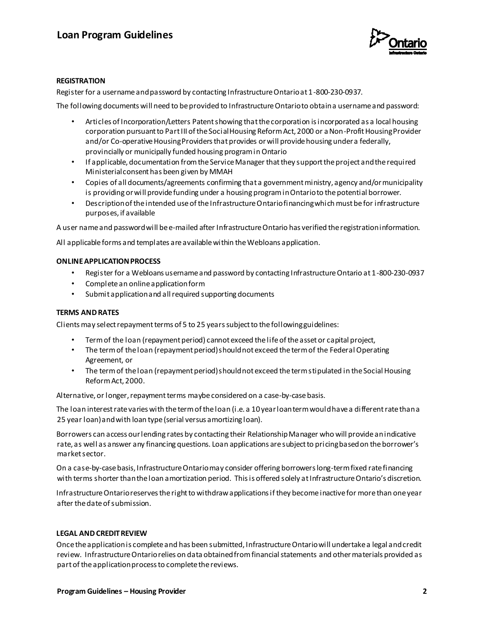

# **REGISTRATION**

Register for a username and password by contacting Infrastructure Ontario at 1-800-230-0937.

The following documents will need to be provided to Infrastructure Ontario to obtain a username and password:

- Articles of Incorporation/Letters Patent showing that the corporation is incorporated as a local housing corporation pursuant to Part III of the Social Housing Reform Act, 2000 or a Non-Profit Housing Provider and/or Co-operative Housing Providers that provides or will provide housing under a federally, provincially or municipally funded housing program in Ontario
- If applicable, documentation from the Service Manager that they support the project and the required Ministerial consent has been given by MMAH
- Copies of all documents/agreements confirming that a government ministry, agency and/or municipality is providing or will provide funding under a housing program in Ontario to the potential borrower.
- Description of the intended use of the Infrastructure Ontario financing which must be for infrastructure purposes, if available

A user name and password will be e-mailed after Infrastructure Ontario has verified the registration information.

All applicable forms and templates are available within the Webloans application.

## **ONLINE APPLICATION PROCESS**

- Register for a Webloans username and password by contacting Infrastructure Ontario at 1-800-230-0937
- Complete an online application form
- Submit application and all required supporting documents

# **TERMS AND RATES**

Clients may select repayment terms of 5 to 25 years subject to the following guidelines:

- Term of the loan (repayment period) cannot exceed the life of the asset or capital project,
- The term of the loan (repayment period) should not exceed the term of the Federal Operating Agreement, or
- The term of the loan (repayment period) should not exceed the term stipulated in the Social Housing Reform Act, 2000.

Alternative, or longer, repayment terms maybe considered on a case-by-case basis.

The loan interest rate varies with the term of the loan (i.e. a 10 year loan term would have a different rate than a 25 year loan) and with loan type (serial versus amortizing loan).

Borrowers can access our lending rates by contacting their Relationship Manager who will provide an indicative rate, as well as answer any financing questions. Loan applications are subject to pricing based on the borrower's market sector.

On a case-by-case basis, Infrastructure Ontario may consider offering borrowers long-term fixed rate financing with terms shorter than the loan amortization period. This is offered solely at Infrastructure Ontario's discretion.

Infrastructure Ontario reserves the right to withdraw applications if they become inactive for more than one year after the date of submission.

## **LEGAL AND CREDIT REVIEW**

Once the application is complete and has been submitted, Infrastructure Ontario will undertake a legal and credit review. Infrastructure Ontario relies on data obtained from financial statements and other materials provided as part of the application process to complete the reviews.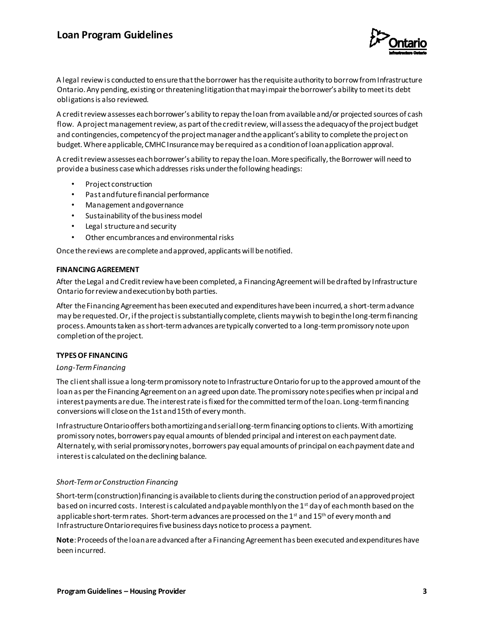# **Loan Program Guidelines**



A legal review is conducted to ensure that the borrower has the requisite authority to borrow from Infrastructure Ontario. Any pending, existing or threatening litigation that may impair the borrower's ability to meet its debt obligations is also reviewed.

A credit review assesses each borrower's ability to repay the loan from available and/or projected sources of cash flow. A project management review, as part of the credit review, will assess the adequacy of the project budget and contingencies, competency of the project manager and the applicant's ability to complete the project on budget. Where applicable, CMHC Insurance may be required as a condition of loan application approval.

A credit review assesses each borrower's ability to repay the loan. More specifically, the Borrower will need to provide a business case which addresses risks under the following headings:

- Project construction
- Past and future financial performance
- Management and governance
- Sustainability of the business model
- Legal structure and security
- Other encumbrances and environmental risks

Once the reviews are complete and approved, applicants will be notified.

#### **FINANCING AGREEMENT**

After the Legal and Credit review have been completed, a Financing Agreement will be drafted by Infrastructure Ontario for review and execution by both parties.

After the Financing Agreement has been executed and expenditures have been incurred, a short-term advance may be requested. Or, if the project is substantially complete, clients may wish to begin the long-term financing process. Amounts taken as short-term advances are typically converted to a long-term promissory note upon completion of the project.

## **TYPES OF FINANCING**

#### *Long-Term Financing*

The client shall issue a long-term promissory note to Infrastructure Ontario for up to the approved amount of the loan as per the Financing Agreement on an agreed upon date. The promissory note specifies when principal and interest payments are due. The interest rate is fixed for the committed term of the loan. Long-term financing conversions will close on the 1st and 15th of every month.

Infrastructure Ontario offers both amortizing and serial long-term financing options to clients. With amortizing promissory notes, borrowers pay equal amounts of blended principal and interest on each payment date. Alternately, with serial promissory notes, borrowers pay equal amounts of principal on each payment date and interest is calculated on the declining balance.

## *Short-Term or Construction Financing*

Short-term (construction) financing is available to clients during the construction period of an approved project based on incurred costs. Interest is calculated and payable monthly on the 1<sup>st</sup> day of each month based on the applicable short-term rates. Short-term advances are processed on the 1<sup>st</sup> and 15<sup>th</sup> of every month and Infrastructure Ontario requires five business days notice to process a payment.

**Note**: Proceeds of the loan are advanced after a Financing Agreement has been executed and expenditures have been incurred.